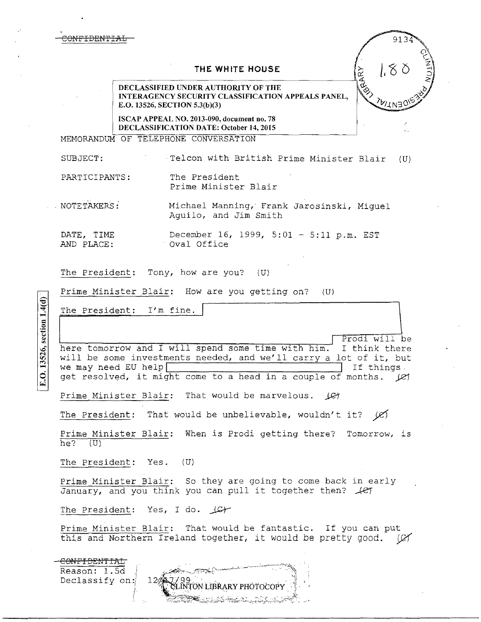## **THE WHITE HOUSE**

**DECLASSIFIED UNDER AUTHORITY OF THE INTERAGENCY SECURITY CLASSIFICATION APPEALS PANEL, E.O. 13526, SECTION 5.3(b)(3)** 

**ISCAP APPEAL NO. 2013-090, document no. 78 DECLASSIFICATION DATE: October 14, 2015** 

MEMORANDUM OF TELEPHONE CONVERSATION

SUBJECT: Telcon with British Prime Minister Blair (U)

913

1.80

**RAARY** 

PARTICIPANTS: The President Prime Minister Blair

. NOTE TAKERS : Michael Manning,· Frank Jarosinski, Miguel Aguila, and Jim Smith

DATE, TIME December 16, 1999, 5:01 - 5:11 p.m. EST AND PLACE: oval Office

The President: Tony, how are you? (U)

Prime Minister Blair: How are you getting on? (U)

The President: I'm fine.

The President: I'm fine. here tomorrow and I will spend some time with him. I think there will be some investments needed, and we'll carry a lot of it, but will be some investments needed, and we'll carry a lot of it, but<br>we may need EU help<br>act resolved it right some to a bood in a sounde of menths (G we may need EU help<br>get resolved, it might come to a head in a couple of months.  $|C|$ 

Prime Minister Blair: That would be marvelous.  $\Box$ 

The President: That would be unbelievable, wouldn't it?  $\cancel{C}$ 

Prime Minister Blair: When is Prodi getting there? Tomorrow, is  $he?$  (U)

The President: Yes. (U)

Prime Minister Blair: So they are going to come back in early January, and you think you can pull it together then?  $\text{\textit{left}}$ 

The President: Yes, I do.  $\Box$ C+

Prime Minister Blair: That would be fantastic. If you can put this and Northern Ireland together, it would be pretty good. (C)

-<del>CONFIDENTIAL</del> Reason: l.5d Declassify on: ON LIBRARY PHOTOCOPY

E.O. 13526, section 1.4(d)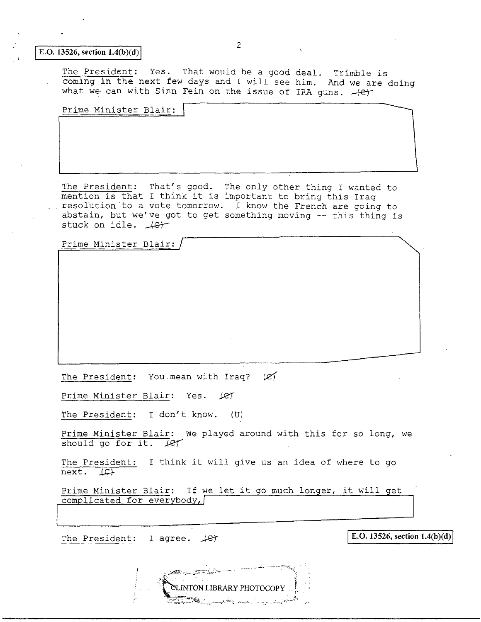## **E.O.** 13526, section  $1.4(b)(d)$

The President: Yes. That would be a good deal. Trimble is coming in the next few days and I will see him. And we are doing what we can with Sinn Fein on the issue of IRA guns.  $+e^+$ 

Prime Minister Blair:

The President: That's good. The only other thing I wanted to mention is that I think it is important to bring this Iraq resolution to a vote tomorrow. I know the French are going to abstain, but we've got to get something moving -- this thing is stuck on idle.  $\text{Ler}$ 

Prime Minister Blair:

The President: You mean with Iraq?  $(2)$ 

Prime Minister Blair: Yes. 1er

The President: I don't know. (U)

Prime Minister Blair: We played around with this for so long, we<br>should go for it. (e)

The President: I think it will give us an idea of where to go  $next. \quad \mathcal{L}$ 

Prime Minister Blair: If we let it go much longer, it will get complicated for everybody,/

> **ELINTON LIBRARY PHOTOCOPY** <u>Same and the second and the state of the second second and the second second second and second second second second second second second second second second second second second second second second second second second </u>

The President: I agree.  $\angle$  **Let**  $\ket{E.0.13526, \text{section } 1.4(b)(d)}$ 

 $\overline{\phantom{a}}$ 



2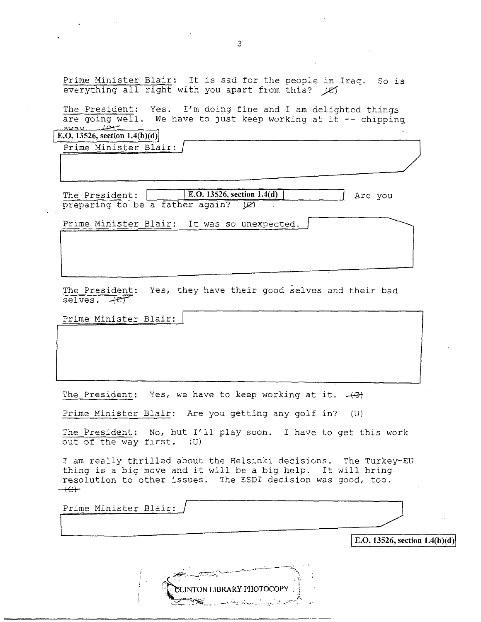Prime Minister Blair: It is sad for the people in Iraq. So is everything all right with you apart from this? (e)

The President: Yes. I'm doing fine and I am delighted things are going well. We have to just keep working at it  $-$ - chipping <u>away 64</u>

~-------

**E.O. 13526, section 1.4(b)(d)** 

Prime Minister Blair:

The President: **E.O. 13526, section 1.4(d)** Are you preparing to be a father again?  $\varnothing$ 

L\_~~ --

Prime Minister Blair: It was so unexpected.

The President: Yes, they have their good selves and their bad selves.  $+e^+$ 

Prime Minister Blair:

The President: Yes, we have to keep working at it.  $+e$ 

Prime Minister Blair: Are you getting any golf in?  $(U)$ 

The President: No, but I'll play soon. I have to get this work out of the way first. (U)

I am really thrilled about the Helsinki decisions. The Turkey-EU t am fearly chiffled about the neisinki decisions. The furkey resolution to other issues. The ESDI decision was good, too.  $+e+$ 

CLINTON LIBRARY PHOTOCOPY

Prime Minister Blair:

 $\frac{E[0.13526, \text{section 1.4(h)}(d)]}{E[0.13526, \text{section 1.4(h)}(d)]}$